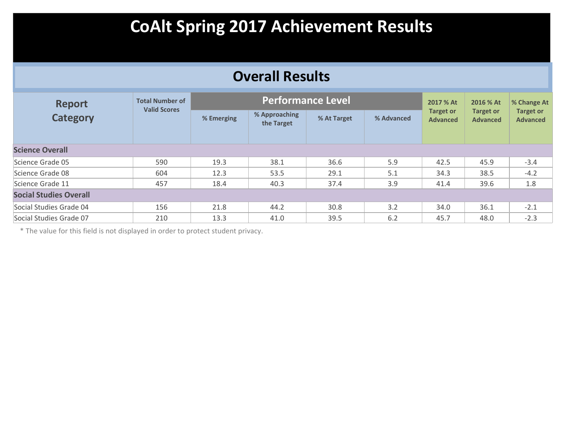### **Overall Results**

| <b>Report</b><br><b>Category</b> | <b>Total Number of</b><br><b>Valid Scores</b> |            |                             | <b>Performance Level</b> |            | 2017 % At                           | 2016 % At                           | % Change At                         |  |  |
|----------------------------------|-----------------------------------------------|------------|-----------------------------|--------------------------|------------|-------------------------------------|-------------------------------------|-------------------------------------|--|--|
|                                  |                                               | % Emerging | % Approaching<br>the Target | % At Target              | % Advanced | <b>Target or</b><br><b>Advanced</b> | <b>Target or</b><br><b>Advanced</b> | <b>Target or</b><br><b>Advanced</b> |  |  |
| <b>Science Overall</b>           |                                               |            |                             |                          |            |                                     |                                     |                                     |  |  |
| Science Grade 05                 | 590                                           | 19.3       | 38.1                        | 36.6                     | 5.9        | 42.5                                | 45.9                                | $-3.4$                              |  |  |
| Science Grade 08                 | 604                                           | 12.3       | 53.5                        | 29.1                     | 5.1        | 34.3                                | 38.5                                | $-4.2$                              |  |  |
| Science Grade 11                 | 457                                           | 18.4       | 40.3                        | 37.4                     | 3.9        | 41.4                                | 39.6                                | 1.8                                 |  |  |
| <b>Social Studies Overall</b>    |                                               |            |                             |                          |            |                                     |                                     |                                     |  |  |
| Social Studies Grade 04          | 156                                           | 21.8       | 44.2                        | 30.8                     | 3.2        | 34.0                                | 36.1                                | $-2.1$                              |  |  |
| Social Studies Grade 07          | 210                                           | 13.3       | 41.0                        | 39.5                     | 6.2        | 45.7                                | 48.0                                | $-2.3$                              |  |  |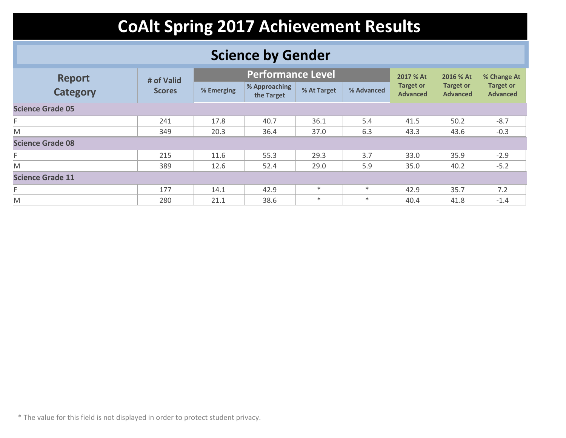### **Science by Gender**

| <b>Report</b>           | # of Valid    |            | <b>Performance Level</b>    |             |            | 2017 % At                           | 2016 % At                           | % Change At                         |  |  |
|-------------------------|---------------|------------|-----------------------------|-------------|------------|-------------------------------------|-------------------------------------|-------------------------------------|--|--|
| <b>Category</b>         | <b>Scores</b> | % Emerging | % Approaching<br>the Target | % At Target | % Advanced | <b>Target or</b><br><b>Advanced</b> | <b>Target or</b><br><b>Advanced</b> | <b>Target or</b><br><b>Advanced</b> |  |  |
| <b>Science Grade 05</b> |               |            |                             |             |            |                                     |                                     |                                     |  |  |
| F                       | 241           | 17.8       | 40.7                        | 36.1        | 5.4        | 41.5                                | 50.2                                | $-8.7$                              |  |  |
| M                       | 349           | 20.3       | 36.4                        | 37.0        | 6.3        | 43.3                                | 43.6                                | $-0.3$                              |  |  |
| <b>Science Grade 08</b> |               |            |                             |             |            |                                     |                                     |                                     |  |  |
| F                       | 215           | 11.6       | 55.3                        | 29.3        | 3.7        | 33.0                                | 35.9                                | $-2.9$                              |  |  |
| M                       | 389           | 12.6       | 52.4                        | 29.0        | 5.9        | 35.0                                | 40.2                                | $-5.2$                              |  |  |
| <b>Science Grade 11</b> |               |            |                             |             |            |                                     |                                     |                                     |  |  |
| F                       | 177           | 14.1       | 42.9                        | $*$         | $\ast$     | 42.9                                | 35.7                                | 7.2                                 |  |  |
| M                       | 280           | 21.1       | 38.6                        | $\ast$      | $\ast$     | 40.4                                | 41.8                                | $-1.4$                              |  |  |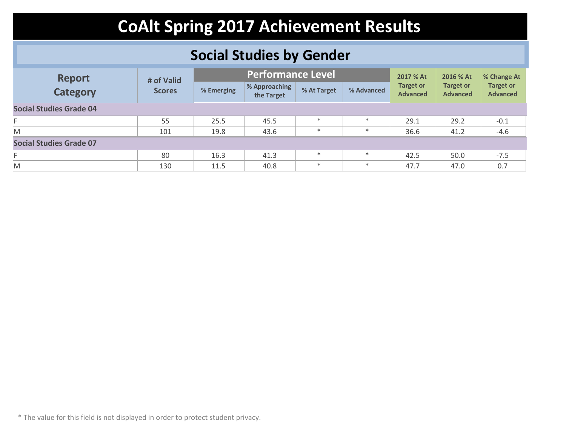### **Social Studies by Gender**

| <b>Report</b><br><b>Category</b> | # of Valid    |            | <b>Performance Level</b>    |             |            | 2017 % At                           | 2016 % At                           | % Change At                         |
|----------------------------------|---------------|------------|-----------------------------|-------------|------------|-------------------------------------|-------------------------------------|-------------------------------------|
|                                  | <b>Scores</b> | % Emerging | % Approaching<br>the Target | % At Target | % Advanced | <b>Target or</b><br><b>Advanced</b> | <b>Target or</b><br><b>Advanced</b> | <b>Target or</b><br><b>Advanced</b> |
| <b>Social Studies Grade 04</b>   |               |            |                             |             |            |                                     |                                     |                                     |
|                                  | 55            | 25.5       | 45.5                        | $\ast$      | $\ast$     | 29.1                                | 29.2                                | $-0.1$                              |
| M                                | 101           | 19.8       | 43.6                        | $\ast$      | $\ast$     | 36.6                                | 41.2                                | $-4.6$                              |
| <b>Social Studies Grade 07</b>   |               |            |                             |             |            |                                     |                                     |                                     |
|                                  | 80            | 16.3       | 41.3                        | $\ast$      | $\ast$     | 42.5                                | 50.0                                | $-7.5$                              |
| M                                | 130           | 11.5       | 40.8                        | $\ast$      | $\ast$     | 47.7                                | 47.0                                | 0.7                                 |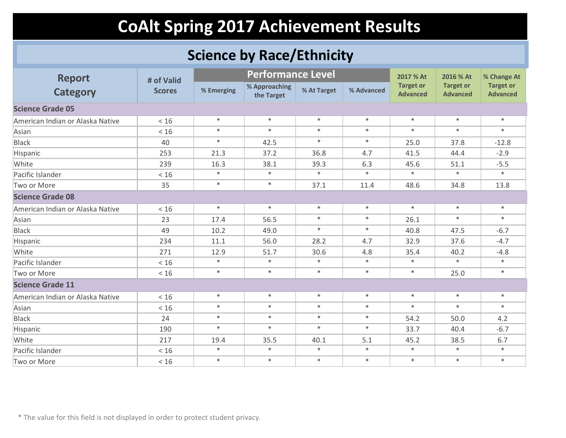### **Science by Race/Ethnicity**

| <b>Report</b>                    | # of Valid    |            | <b>Performance Level</b>    |             |            | 2017 % At                           | 2016 % At                           | % Change At                         |
|----------------------------------|---------------|------------|-----------------------------|-------------|------------|-------------------------------------|-------------------------------------|-------------------------------------|
| <b>Category</b>                  | <b>Scores</b> | % Emerging | % Approaching<br>the Target | % At Target | % Advanced | <b>Target or</b><br><b>Advanced</b> | <b>Target or</b><br><b>Advanced</b> | <b>Target or</b><br><b>Advanced</b> |
| <b>Science Grade 05</b>          |               |            |                             |             |            |                                     |                                     |                                     |
| American Indian or Alaska Native | $<16$         | $\ast$     | $\ast$                      | $\ast$      | $\ast$     | $\ast$                              | $\ast$                              | $\ast$                              |
| Asian                            | < 16          | $\ast$     | $\ast$                      | $\ast$      | $\ast$     | $\ast$                              | $\ast$                              | $\ast$                              |
| <b>Black</b>                     | 40            | $\ast$     | 42.5                        | $\ast$      | $\ast$     | 25.0                                | 37.8                                | $-12.8$                             |
| Hispanic                         | 253           | 21.3       | 37.2                        | 36.8        | 4.7        | 41.5                                | 44.4                                | $-2.9$                              |
| White                            | 239           | 16.3       | 38.1                        | 39.3        | 6.3        | 45.6                                | 51.1                                | $-5.5$                              |
| Pacific Islander                 | < 16          | $\ast$     | $\ast$                      | $\ast$      | $\ast$     | $\ast$                              | $\ast$                              | $\ast$                              |
| Two or More                      | 35            | $\ast$     | $\ast$                      | 37.1        | 11.4       | 48.6                                | 34.8                                | 13.8                                |
| <b>Science Grade 08</b>          |               |            |                             |             |            |                                     |                                     |                                     |
| American Indian or Alaska Native | < 16          | $\ast$     | $\ast$                      | $\ast$      | $\ast$     | $\ast$                              | $\ast$                              | $\ast$                              |
| Asian                            | 23            | 17.4       | 56.5                        | $\ast$      | $\ast$     | 26.1                                | $\ast$                              | $\ast$                              |
| <b>Black</b>                     | 49            | 10.2       | 49.0                        | $\ast$      | $\ast$     | 40.8                                | 47.5                                | $-6.7$                              |
| Hispanic                         | 234           | 11.1       | 56.0                        | 28.2        | 4.7        | 32.9                                | 37.6                                | $-4.7$                              |
| White                            | 271           | 12.9       | 51.7                        | 30.6        | 4.8        | 35.4                                | 40.2                                | $-4.8$                              |
| Pacific Islander                 | < 16          | $\ast$     | $\ast$                      | $\ast$      | $\ast$     | $\ast$                              | $\ast$                              | $\ast$                              |
| Two or More                      | < 16          | $\ast$     | $\ast$                      | $\ast$      | $\ast$     | $\ast$                              | 25.0                                | $\ast$                              |
| <b>Science Grade 11</b>          |               |            |                             |             |            |                                     |                                     |                                     |
| American Indian or Alaska Native | < 16          | $\ast$     | $\ast$                      | $\ast$      | $\ast$     | $\ast$                              | $\ast$                              | $\ast$                              |
| Asian                            | < 16          | $\ast$     | $\ast$                      | $\ast$      | $\ast$     | $\ast$                              | $\ast$                              | $\ast$                              |
| <b>Black</b>                     | 24            | $\ast$     | $\ast$                      | $\ast$      | $\ast$     | 54.2                                | 50.0                                | 4.2                                 |
| Hispanic                         | 190           | $\ast$     | $\ast$                      | $\ast$      | $\ast$     | 33.7                                | 40.4                                | $-6.7$                              |
| White                            | 217           | 19.4       | 35.5                        | 40.1        | 5.1        | 45.2                                | 38.5                                | 6.7                                 |
| Pacific Islander                 | < 16          | $\ast$     | $\ast$                      | $\ast$      | $\ast$     | $\ast$                              | $\ast$                              | $\ast$                              |
| Two or More                      | < 16          | $\ast$     | $\ast$                      | $\ast$      | $\ast$     | $\ast$                              | $\ast$                              | $\ast$                              |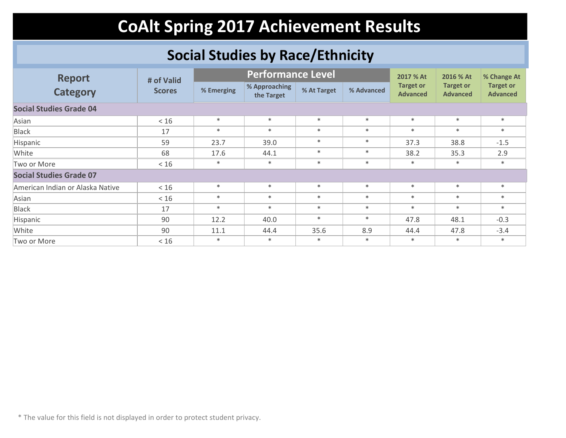### **Social Studies by Race/Ethnicity**

| <b>Report</b>                    | # of Valid    |            | <b>Performance Level</b>    |             |            | 2017 % At                           | 2016 % At                           | % Change At                         |
|----------------------------------|---------------|------------|-----------------------------|-------------|------------|-------------------------------------|-------------------------------------|-------------------------------------|
| <b>Category</b>                  | <b>Scores</b> | % Emerging | % Approaching<br>the Target | % At Target | % Advanced | <b>Target or</b><br><b>Advanced</b> | <b>Target or</b><br><b>Advanced</b> | <b>Target or</b><br><b>Advanced</b> |
| <b>Social Studies Grade 04</b>   |               |            |                             |             |            |                                     |                                     |                                     |
| Asian                            | < 16          | $*$        | $\ast$                      | $\ast$      | $\ast$     | $\ast$                              | $\ast$                              | $*$                                 |
| <b>Black</b>                     | 17            | $*$        | $\ast$                      | $\ast$      | $\ast$     | $\ast$                              | $\ast$                              | $*$                                 |
| Hispanic                         | 59            | 23.7       | 39.0                        | $*$         | $\ast$     | 37.3                                | 38.8                                | $-1.5$                              |
| White                            | 68            | 17.6       | 44.1                        | $\ast$      | $\ast$     | 38.2                                | 35.3                                | 2.9                                 |
| Two or More                      | < 16          | $\ast$     | $\ast$                      | $\ast$      | $\ast$     | $\ast$                              | $\ast$                              | $*$                                 |
| <b>Social Studies Grade 07</b>   |               |            |                             |             |            |                                     |                                     |                                     |
| American Indian or Alaska Native | < 16          | $\ast$     | $\ast$                      | $\ast$      | $\ast$     | $\ast$                              | $\ast$                              | $*$                                 |
| Asian                            | < 16          | $*$        | $\ast$                      | $\ast$      | $\ast$     | $\ast$                              | $\ast$                              | $*$                                 |
| <b>Black</b>                     | 17            | $\ast$     | $\ast$                      | $\ast$      | $\ast$     | $\ast$                              | $\ast$                              | $*$                                 |
| Hispanic                         | 90            | 12.2       | 40.0                        | $*$         | $\ast$     | 47.8                                | 48.1                                | $-0.3$                              |
| White                            | 90            | 11.1       | 44.4                        | 35.6        | 8.9        | 44.4                                | 47.8                                | $-3.4$                              |
| Two or More                      | < 16          | $\ast$     | $\ast$                      | $*$         | $\ast$     | $\ast$                              | $\ast$                              | $\ast$                              |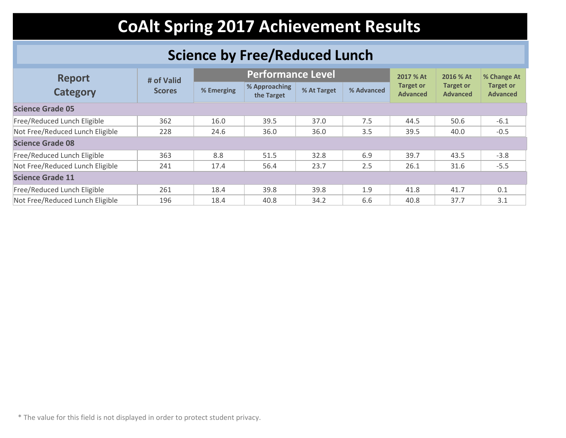### **Science by Free/Reduced Lunch**

| <b>Report</b>                   | # of Valid    |            | <b>Performance Level</b>    |             |            | 2017 % At                           | 2016 % At                           | % Change At                         |  |  |
|---------------------------------|---------------|------------|-----------------------------|-------------|------------|-------------------------------------|-------------------------------------|-------------------------------------|--|--|
| <b>Category</b>                 | <b>Scores</b> | % Emerging | % Approaching<br>the Target | % At Target | % Advanced | <b>Target or</b><br><b>Advanced</b> | <b>Target or</b><br><b>Advanced</b> | <b>Target or</b><br><b>Advanced</b> |  |  |
| <b>Science Grade 05</b>         |               |            |                             |             |            |                                     |                                     |                                     |  |  |
| Free/Reduced Lunch Eligible     | 362           | 16.0       | 39.5                        | 37.0        | 7.5        | 44.5                                | 50.6                                | $-6.1$                              |  |  |
| Not Free/Reduced Lunch Eligible | 228           | 24.6       | 36.0                        | 36.0        | 3.5        | 39.5                                | 40.0                                | $-0.5$                              |  |  |
| <b>Science Grade 08</b>         |               |            |                             |             |            |                                     |                                     |                                     |  |  |
| Free/Reduced Lunch Eligible     | 363           | 8.8        | 51.5                        | 32.8        | 6.9        | 39.7                                | 43.5                                | $-3.8$                              |  |  |
| Not Free/Reduced Lunch Eligible | 241           | 17.4       | 56.4                        | 23.7        | 2.5        | 26.1                                | 31.6                                | $-5.5$                              |  |  |
| <b>Science Grade 11</b>         |               |            |                             |             |            |                                     |                                     |                                     |  |  |
| Free/Reduced Lunch Eligible     | 261           | 18.4       | 39.8                        | 39.8        | 1.9        | 41.8                                | 41.7                                | 0.1                                 |  |  |
| Not Free/Reduced Lunch Eligible | 196           | 18.4       | 40.8                        | 34.2        | 6.6        | 40.8                                | 37.7                                | 3.1                                 |  |  |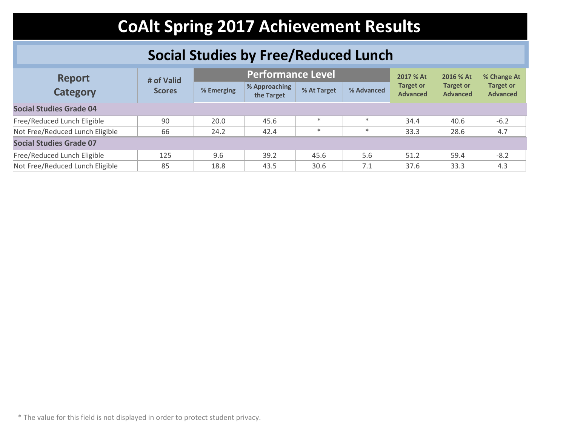### **Social Studies by Free/Reduced Lunch**

| <b>Report</b><br><b>Category</b> | # of Valid    |            | <b>Performance Level</b>    |             |            | 2017 % At                           | 2016 % At                           | % Change At                         |
|----------------------------------|---------------|------------|-----------------------------|-------------|------------|-------------------------------------|-------------------------------------|-------------------------------------|
|                                  | <b>Scores</b> | % Emerging | % Approaching<br>the Target | % At Target | % Advanced | <b>Target or</b><br><b>Advanced</b> | <b>Target or</b><br><b>Advanced</b> | <b>Target or</b><br><b>Advanced</b> |
| <b>Social Studies Grade 04</b>   |               |            |                             |             |            |                                     |                                     |                                     |
| Free/Reduced Lunch Eligible      | 90            | 20.0       | 45.6                        | $\ast$      | $\ast$     | 34.4                                | 40.6                                | $-6.2$                              |
| Not Free/Reduced Lunch Eligible  | 66            | 24.2       | 42.4                        | $\ast$      | $\ast$     | 33.3                                | 28.6                                | 4.7                                 |
| <b>Social Studies Grade 07</b>   |               |            |                             |             |            |                                     |                                     |                                     |
| Free/Reduced Lunch Eligible      | 125           | 9.6        | 39.2                        | 45.6        | 5.6        | 51.2                                | 59.4                                | $-8.2$                              |
| Not Free/Reduced Lunch Eligible  | 85            | 18.8       | 43.5                        | 30.6        | 7.1        | 37.6                                | 33.3                                | 4.3                                 |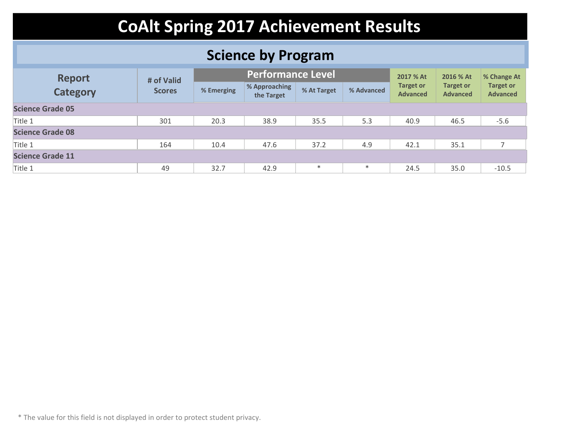### **Science by Program**

| <b>Report</b><br><b>Category</b> | # of Valid    |            | <b>Performance Level</b>    |             |            | 2017 % At                           | 2016 % At                           | % Change At                         |
|----------------------------------|---------------|------------|-----------------------------|-------------|------------|-------------------------------------|-------------------------------------|-------------------------------------|
|                                  | <b>Scores</b> | % Emerging | % Approaching<br>the Target | % At Target | % Advanced | <b>Target or</b><br><b>Advanced</b> | <b>Target or</b><br><b>Advanced</b> | <b>Target or</b><br><b>Advanced</b> |
| <b>Science Grade 05</b>          |               |            |                             |             |            |                                     |                                     |                                     |
| Title 1                          | 301           | 20.3       | 38.9                        | 35.5        | 5.3        | 40.9                                | 46.5                                | $-5.6$                              |
| <b>Science Grade 08</b>          |               |            |                             |             |            |                                     |                                     |                                     |
| Title 1                          | 164           | 10.4       | 47.6                        | 37.2        | 4.9        | 42.1                                | 35.1                                | $\overline{ }$                      |
| <b>Science Grade 11</b>          |               |            |                             |             |            |                                     |                                     |                                     |
| Title 1                          | 49            | 32.7       | 42.9                        | $\ast$      | $\ast$     | 24.5                                | 35.0                                | $-10.5$                             |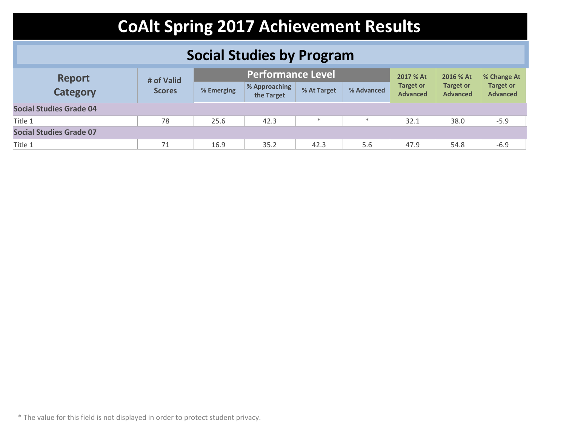### **Social Studies by Program**

| <b>Report</b><br><b>Category</b> | # of Valid    |            | Performance Level           |             |            | 2017 % At                           | 2016 % At                           | % Change At                         |
|----------------------------------|---------------|------------|-----------------------------|-------------|------------|-------------------------------------|-------------------------------------|-------------------------------------|
|                                  | <b>Scores</b> | % Emerging | % Approaching<br>the Target | % At Target | % Advanced | <b>Target or</b><br><b>Advanced</b> | <b>Target or</b><br><b>Advanced</b> | <b>Target or</b><br><b>Advanced</b> |
| <b>Social Studies Grade 04</b>   |               |            |                             |             |            |                                     |                                     |                                     |
| Title 1                          | 78            | 25.6       | 42.3                        | $\ast$      | $\ast$     | 32.1                                | 38.0                                | $-5.9$                              |
| <b>Social Studies Grade 07</b>   |               |            |                             |             |            |                                     |                                     |                                     |
| Title 1                          | 71            | 16.9       | 35.2                        | 42.3        | 5.6        | 47.9                                | 54.8                                | $-6.9$                              |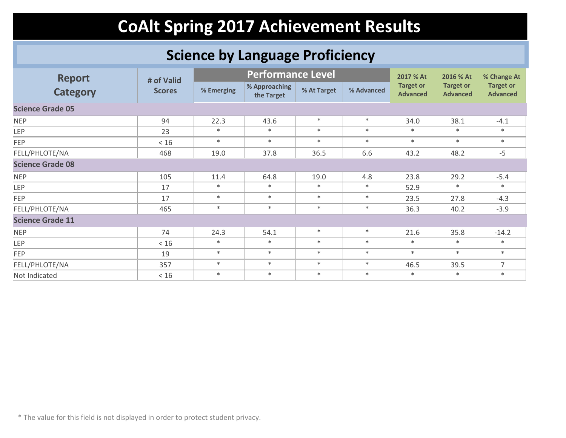### **Science by Language Proficiency**

| <b>Report</b>           | # of Valid    |            | <b>Performance Level</b>    |             |            | 2017 % At                           | 2016 % At                           | % Change At                         |
|-------------------------|---------------|------------|-----------------------------|-------------|------------|-------------------------------------|-------------------------------------|-------------------------------------|
| <b>Category</b>         | <b>Scores</b> | % Emerging | % Approaching<br>the Target | % At Target | % Advanced | <b>Target or</b><br><b>Advanced</b> | <b>Target or</b><br><b>Advanced</b> | <b>Target or</b><br><b>Advanced</b> |
| <b>Science Grade 05</b> |               |            |                             |             |            |                                     |                                     |                                     |
| <b>NEP</b>              | 94            | 22.3       | 43.6                        | $\ast$      | $\ast$     | 34.0                                | 38.1                                | $-4.1$                              |
| LEP                     | 23            | $\ast$     | $*$                         | $\ast$      | $\ast$     | $\ast$                              | $\ast$                              | $\ast$                              |
| <b>FEP</b>              | < 16          | $\ast$     | $*$                         | $\ast$      | $\ast$     | $\ast$                              | $\ast$                              | $*$                                 |
| FELL/PHLOTE/NA          | 468           | 19.0       | 37.8                        | 36.5        | 6.6        | 43.2                                | 48.2                                | $-5$                                |
| <b>Science Grade 08</b> |               |            |                             |             |            |                                     |                                     |                                     |
| <b>NEP</b>              | 105           | 11.4       | 64.8                        | 19.0        | 4.8        | 23.8                                | 29.2                                | $-5.4$                              |
| LEP                     | 17            | $\ast$     | $*$                         | $\ast$      | $\ast$     | 52.9                                | $\ast$                              | $\ast$                              |
| <b>FEP</b>              | 17            | $\ast$     | $*$                         | $\ast$      | $\ast$     | 23.5                                | 27.8                                | $-4.3$                              |
| FELL/PHLOTE/NA          | 465           | $\ast$     | $\ast$                      | $\ast$      | $\ast$     | 36.3                                | 40.2                                | $-3.9$                              |
| <b>Science Grade 11</b> |               |            |                             |             |            |                                     |                                     |                                     |
| <b>NEP</b>              | 74            | 24.3       | 54.1                        | $\ast$      | $\ast$     | 21.6                                | 35.8                                | $-14.2$                             |
| <b>LEP</b>              | $<16$         | $\ast$     | $*$                         | $\ast$      | $\ast$     | $\ast$                              | $\ast$                              | $*$                                 |
| <b>FEP</b>              | 19            | $\ast$     | $*$                         | $*$         | $\ast$     | $*$                                 | $*$                                 | $*$                                 |
| FELL/PHLOTE/NA          | 357           | $\ast$     | $\ast$                      | $*$         | $\ast$     | 46.5                                | 39.5                                | $\overline{7}$                      |
| Not Indicated           | $<16$         | $\ast$     | $\ast$                      | $\ast$      | $\ast$     | $\ast$                              | $*$                                 | $\ast$                              |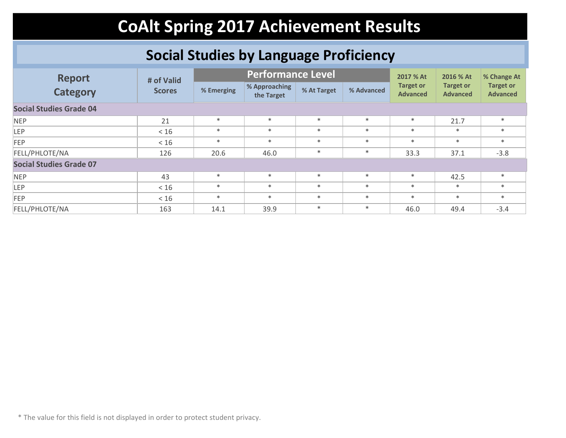### **Social Studies by Language Proficiency**

| <b>Report</b>                  | # of Valid    |            | <b>Performance Level</b>    |             |            | 2017 % At                           | 2016 % At                           | % Change At<br><b>Target or</b><br><b>Advanced</b><br>$*$<br>$*$<br>$*$<br>$-3.8$<br>$*$<br>$\ast$<br>$*$ |  |  |
|--------------------------------|---------------|------------|-----------------------------|-------------|------------|-------------------------------------|-------------------------------------|-----------------------------------------------------------------------------------------------------------|--|--|
| <b>Category</b>                | <b>Scores</b> | % Emerging | % Approaching<br>the Target | % At Target | % Advanced | <b>Target or</b><br><b>Advanced</b> | <b>Target or</b><br><b>Advanced</b> |                                                                                                           |  |  |
| <b>Social Studies Grade 04</b> |               |            |                             |             |            |                                     |                                     |                                                                                                           |  |  |
| <b>NEP</b>                     | 21            | $*$        | $*$                         | $\ast$      | $\ast$     | $\ast$                              | 21.7                                |                                                                                                           |  |  |
| <b>LEP</b>                     | < 16          | $\ast$     | $*$                         | $\ast$      | $\ast$     | $\ast$                              | $*$                                 |                                                                                                           |  |  |
| <b>FEP</b>                     | < 16          | $\ast$     | $*$                         | $\ast$      | $\ast$     | $\ast$                              | $\ast$                              |                                                                                                           |  |  |
| FELL/PHLOTE/NA                 | 126           | 20.6       | 46.0                        | $\ast$      | $\ast$     | 33.3                                | 37.1                                |                                                                                                           |  |  |
| <b>Social Studies Grade 07</b> |               |            |                             |             |            |                                     |                                     |                                                                                                           |  |  |
| <b>NEP</b>                     | 43            | $*$        | $*$                         | $*$         | $\ast$     | $\ast$                              | 42.5                                |                                                                                                           |  |  |
| LEP.                           | < 16          | $*$        | $*$                         | $*$         | $\ast$     | $\ast$                              | $\ast$                              |                                                                                                           |  |  |
| <b>FEP</b>                     | < 16          | $*$        | $*$                         | $\ast$      | $*$        | $*$                                 | $*$                                 |                                                                                                           |  |  |
| FELL/PHLOTE/NA                 | 163           | 14.1       | 39.9                        | $\ast$      | $\ast$     | 46.0                                | 49.4                                | $-3.4$                                                                                                    |  |  |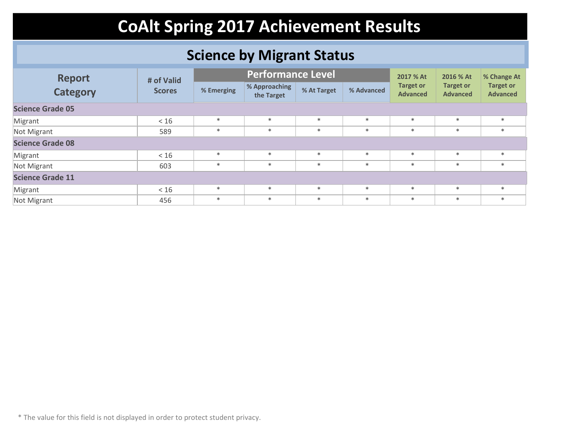### **Science by Migrant Status**

| <b>Report</b>           | # of Valid    |            | <b>Performance Level</b>    |             |            | 2017 % At                           | 2016 % At                           | % Change At                         |  |  |
|-------------------------|---------------|------------|-----------------------------|-------------|------------|-------------------------------------|-------------------------------------|-------------------------------------|--|--|
| <b>Category</b>         | <b>Scores</b> | % Emerging | % Approaching<br>the Target | % At Target | % Advanced | <b>Target or</b><br><b>Advanced</b> | <b>Target or</b><br><b>Advanced</b> | <b>Target or</b><br><b>Advanced</b> |  |  |
| <b>Science Grade 05</b> |               |            |                             |             |            |                                     |                                     |                                     |  |  |
| Migrant                 | < 16          | $*$        | $\ast$                      | $*$         | $*$        | $\ast$                              | $\ast$                              | $*$                                 |  |  |
| Not Migrant             | 589           | $*$        | $*$                         | $\ast$      | $*$        | $\ast$                              | $\ast$                              | $*$                                 |  |  |
| <b>Science Grade 08</b> |               |            |                             |             |            |                                     |                                     |                                     |  |  |
| Migrant                 | < 16          | $\ast$     | $*$                         | $\ast$      | $*$        | $\ast$                              | $\ast$                              | $*$                                 |  |  |
| Not Migrant             | 603           | $*$        | $\ast$                      | $\ast$      | $\ast$     | $\ast$                              | $\ast$                              | $*$                                 |  |  |
| <b>Science Grade 11</b> |               |            |                             |             |            |                                     |                                     |                                     |  |  |
| Migrant                 | < 16          | $*$        | $*$                         | $\ast$      | $\ast$     | $\ast$                              | $\ast$                              | $*$                                 |  |  |
| Not Migrant             | 456           | $*$        | $\ast$                      | $\ast$      | $\ast$     | $\ast$                              | $\ast$                              | $\ast$                              |  |  |